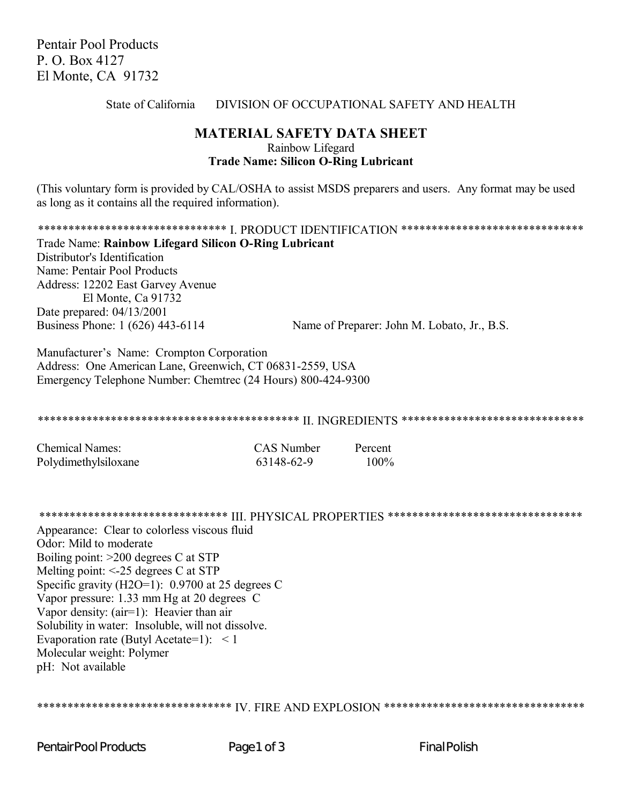**Pentair Pool Products** P. O. Box 4127 El Monte, CA 91732

#### DIVISION OF OCCUPATIONAL SAFETY AND HEALTH State of California

# **MATERIAL SAFETY DATA SHEET** Rainbow Lifegard **Trade Name: Silicon O-Ring Lubricant**

(This voluntary form is provided by CAL/OSHA to assist MSDS preparers and users. Any format may be used as long as it contains all the required information).

\*\*\*\*\*\*\*\*\*\*\*\*\*\*\*\*\*\*\*\*\*\*\*\*\*\*\*\*\*\*\*\*\*\*\*\* I. PRODUCT IDENTIFICATION \*\*\*\*\*\*\*\*\*\*\*\*\*\*\*\*\*\*\*\*\*\*\*\*\*\*\*\*\*\*\* Trade Name: Rainbow Lifegard Silicon O-Ring Lubricant Distributor's Identification Name: Pentair Pool Products Address: 12202 East Garvey Avenue El Monte, Ca 91732 Date prepared: 04/13/2001 Business Phone: 1 (626) 443-6114 Name of Preparer: John M. Lobato, Jr., B.S.

Manufacturer's Name: Crompton Corporation Address: One American Lane, Greenwich, CT 06831-2559, USA Emergency Telephone Number: Chemtrec (24 Hours) 800-424-9300

| <b>Chemical Names:</b> | <b>CAS</b> Number | Percent |
|------------------------|-------------------|---------|
| Polydimethylsiloxane   | 63148-62-9        | $100\%$ |

\*\*\*\*\*\*\*\*\*\*\*\*\*\*\*\*\*\*\*\*\*\*\*\*\*\*\*\*\*\*\* III. PHYSICAL PROPERTIES \*\*\*\*\*\*\*\*\*\*\*\*\*\*\*\*\*\*\*\*\*\*\*\*\*\*\*\*\*\*\* Appearance: Clear to colorless viscous fluid Odor: Mild to moderate Boiling point:  $>200$  degrees C at STP Melting point:  $\le$ -25 degrees C at STP Specific gravity (H2O=1):  $0.9700$  at 25 degrees C Vapor pressure: 1.33 mm Hg at 20 degrees C Vapor density: (air=1): Heavier than air Solubility in water: Insoluble, will not dissolve. Evaporation rate (Butyl Acetate=1):  $\lt 1$ Molecular weight: Polymer

\*\*\*\*\*\*\*\*\*\*\*\*\*\*\*\*\*\*\*\*\*\*\*\*\*\*\*\*\*\*\*\*\*\*\* IV. FIRE AND EXPLOSION \*\*\*\*\*\*\*\*\*\*\*\*\*\*\*\*\*\*\*\*\*\*\*\*\*\*\*\*\*\*\*\*\*\*

**PentairPool Products** 

pH: Not available

Page1 of 3

**Final Polish**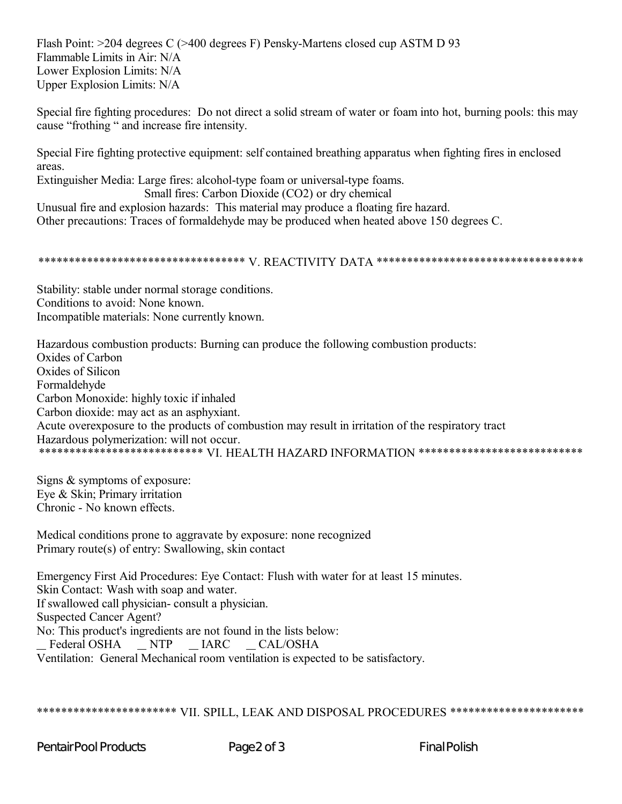Flash Point: >204 degrees C (>400 degrees F) Pensky-Martens closed cup ASTM D 93 Flammable Limits in Air: N/A Lower Explosion Limits: N/A Upper Explosion Limits: N/A

Special fire fighting procedures: Do not direct a solid stream of water or foam into hot, burning pools: this may cause "frothing" and increase fire intensity.

Special Fire fighting protective equipment: self contained breathing apparatus when fighting fires in enclosed areas.

Extinguisher Media: Large fires: alcohol-type foam or universal-type foams. Small fires: Carbon Dioxide (CO2) or dry chemical

Unusual fire and explosion hazards: This material may produce a floating fire hazard. Other precautions: Traces of formaldehyde may be produced when heated above 150 degrees C.

#### 

Stability: stable under normal storage conditions. Conditions to avoid: None known. Incompatible materials: None currently known.

Hazardous combustion products: Burning can produce the following combustion products: Oxides of Carbon Oxides of Silicon Formaldehyde Carbon Monoxide: highly toxic if inhaled Carbon dioxide: may act as an asphyxiant. Acute overexposure to the products of combustion may result in irritation of the respiratory tract Hazardous polymerization: will not occur. \*\*\*\*\*\*\*\*\*\*\*\*\*\*\*\*\*\*\*\*\*\*\*\*\*\*\*\* VL HEALTH HAZARD INFORMATION \*\*\*\*\*\*\*\*\*\*\*\*\*\*\*\*\*\*\*\*\*\*\*\*\*\*\*

Signs & symptoms of exposure: Eve & Skin; Primary irritation Chronic - No known effects

Medical conditions prone to aggravate by exposure: none recognized Primary route(s) of entry: Swallowing, skin contact

Emergency First Aid Procedures: Eye Contact: Flush with water for at least 15 minutes. Skin Contact: Wash with soap and water. If swallowed call physician-consult a physician. **Suspected Cancer Agent?** No: This product's ingredients are not found in the lists below: Federal OSHA \_NTP \_IARC \_CAL/OSHA Ventilation: General Mechanical room ventilation is expected to be satisfactory.

## \*\*\*\*\*\*\*\*\*\*\*\*\*\*\*\*\*\*\*\*\*\*\* VII. SPILL, LEAK AND DISPOSAL PROCEDURES \*\*\*\*\*\*\*\*\*\*\*\*\*\*\*\*\*\*\*\*\*\*

**PentairPool Products** 

Page2 of 3

**Final Polish**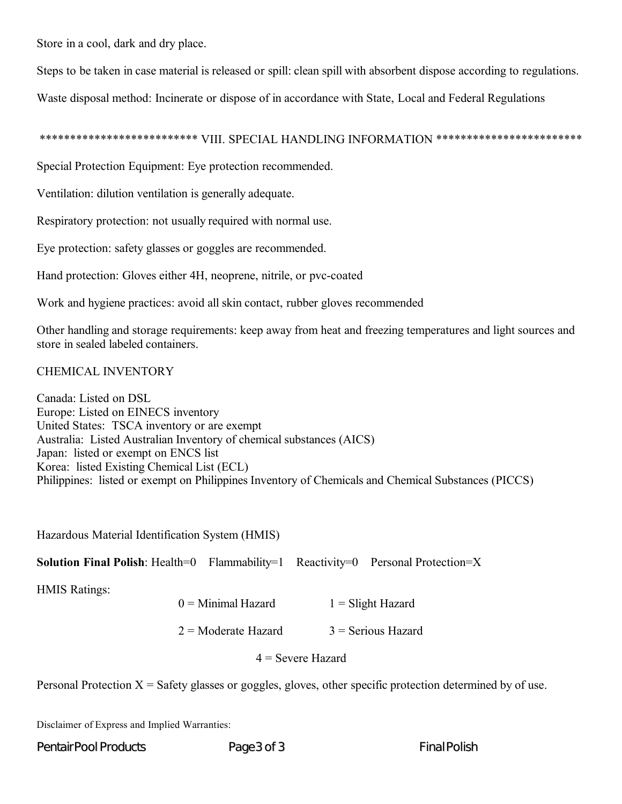Store in a cool, dark and dry place.

Steps to be taken in case material is released or spill: clean spill with absorbent dispose according to regulations.

Waste disposal method: Incinerate or dispose of in accordance with State, Local and Federal Regulations

# \*\*\*\*\*\*\*\*\*\*\*\*\*\*\*\*\*\*\*\*\*\*\*\*\* VIII. SPECIAL HANDLING INFORMATION \*\*\*\*\*\*\*\*\*\*\*\*\*\*\*\*\*\*\*\*\*\*\*\*

Special Protection Equipment: Eye protection recommended.

Ventilation: dilution ventilation is generally adequate.

Respiratory protection: not usually required with normal use.

Eye protection: safety glasses or goggles are recommended.

Hand protection: Gloves either 4H, neoprene, nitrile, or pvc-coated

Work and hygiene practices: avoid all skin contact, rubber gloves recommended

Other handling and storage requirements: keep away from heat and freezing temperatures and light sources and store in sealed labeled containers.

## CHEMICAL INVENTORY

Canada: Listed on DSL Europe: Listed on EINECS inventory United States: TSCA inventory or are exempt Australia: Listed Australian Inventory of chemical substances (AICS) Japan: listed or exempt on ENCS list Korea: listed Existing Chemical List (ECL) Philippines: listed or exempt on Philippines Inventory of Chemicals and Chemical Substances (PICCS)

Hazardous Material Identification System (HMIS)

**Solution Final Polish:** Health=0 Flammability=1 Reactivity=0 Personal Protection=X

HMIS Ratings:

 $2 =$ Moderate Hazard  $3 =$ Serious Hazard

4 = Severe Hazard

Personal Protection  $X = S$ afety glasses or goggles, gloves, other specific protection determined by of use.

Disclaimer of Express and Implied Warranties:

Pentair Pool Products **Page 3 of 3** Final Polish